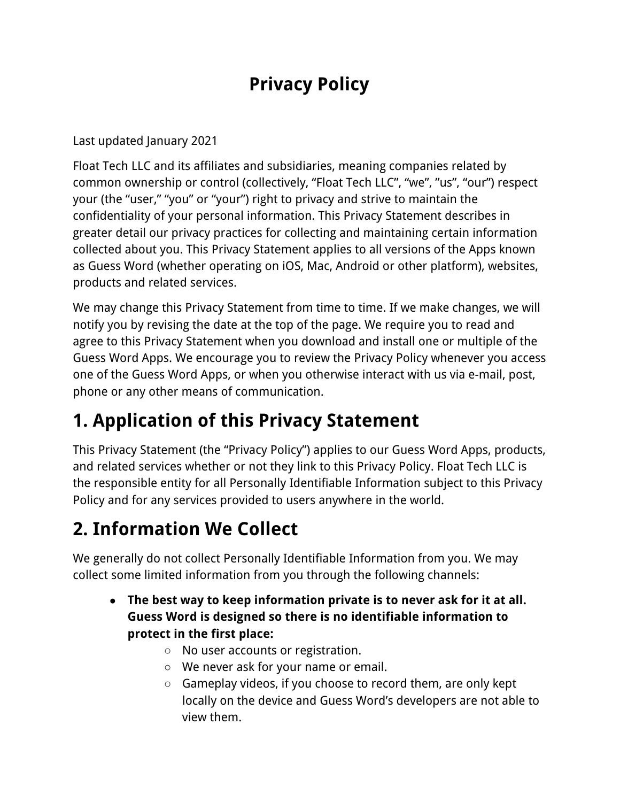## **Privacy Policy**

Last updated January 2021

Float Tech LLC and its affiliates and subsidiaries, meaning companies related by common ownership or control (collectively, "Float Tech LLC", "we", "us", "our") respect your (the "user," "you" or "your") right to privacy and strive to maintain the confidentiality of your personal information. This Privacy Statement describes in greater detail our privacy practices for collecting and maintaining certain information collected about you. This Privacy Statement applies to all versions of the Apps known as Guess Word (whether operating on iOS, Mac, Android or other platform), websites, products and related services.

We may change this Privacy Statement from time to time. If we make changes, we will notify you by revising the date at the top of the page. We require you to read and agree to this Privacy Statement when you download and install one or multiple of the Guess Word Apps. We encourage you to review the Privacy Policy whenever you access one of the Guess Word Apps, or when you otherwise interact with us via e-mail, post, phone or any other means of communication.

## **1. Application of this Privacy Statement**

This Privacy Statement (the "Privacy Policy") applies to our Guess Word Apps, products, and related services whether or not they link to this Privacy Policy. Float Tech LLC is the responsible entity for all Personally Identifiable Information subject to this Privacy Policy and for any services provided to users anywhere in the world.

# **2. Information We Collect**

We generally do not collect Personally Identifiable Information from you. We may collect some limited information from you through the following channels:

- **● The best way to keep information private is to never ask for it at all. Guess Word is designed so there is no identifiable information to protect in the first place:**
	- No user accounts or registration.
	- We never ask for your name or email.
	- Gameplay videos, if you choose to record them, are only kept locally on the device and Guess Word's developers are not able to view them.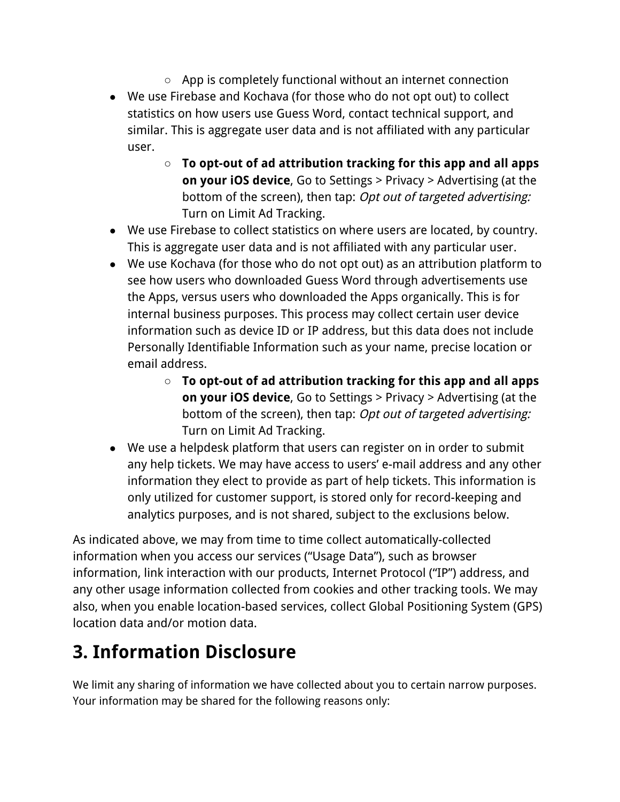- App is completely functional without an internet connection ● We use Firebase and Kochava (for those who do not opt out) to collect statistics on how users use Guess Word, contact technical support, and similar. This is aggregate user data and is not affiliated with any particular user.
	- **To opt-out of ad attribution tracking for this app and all apps on your iOS device**, Go to Settings > Privacy > Advertising (at the bottom of the screen), then tap: Opt out of targeted advertising: Turn on Limit Ad Tracking.
- We use Firebase to collect statistics on where users are located, by country. This is aggregate user data and is not affiliated with any particular user.
- We use Kochava (for those who do not opt out) as an attribution platform to see how users who downloaded Guess Word through advertisements use the Apps, versus users who downloaded the Apps organically. This is for internal business purposes. This process may collect certain user device information such as device ID or IP address, but this data does not include Personally Identifiable Information such as your name, precise location or email address.
	- **To opt-out of ad attribution tracking for this app and all apps on your iOS device**, Go to Settings > Privacy > Advertising (at the bottom of the screen), then tap: Opt out of targeted advertising: Turn on Limit Ad Tracking.
- We use a helpdesk platform that users can register on in order to submit any help tickets. We may have access to users' e-mail address and any other information they elect to provide as part of help tickets. This information is only utilized for customer support, is stored only for record-keeping and analytics purposes, and is not shared, subject to the exclusions below.

As indicated above, we may from time to time collect automatically-collected information when you access our services ("Usage Data"), such as browser information, link interaction with our products, Internet Protocol ("IP") address, and any other usage information collected from cookies and other tracking tools. We may also, when you enable location-based services, collect Global Positioning System (GPS) location data and/or motion data.

## **3. Information Disclosure**

We limit any sharing of information we have collected about you to certain narrow purposes. Your information may be shared for the following reasons only: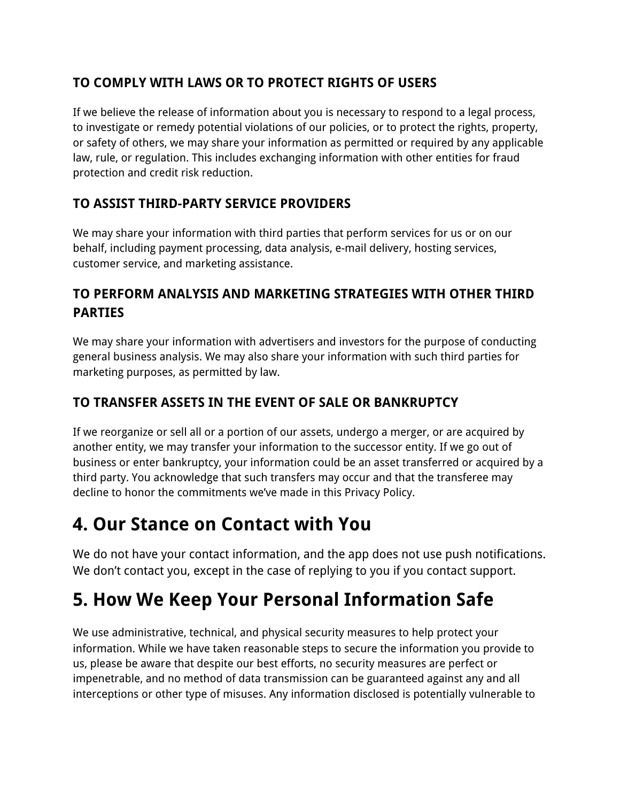#### **TO COMPLY WITH LAWS OR TO PROTECT RIGHTS OF USERS**

If we believe the release of information about you is necessary to respond to a legal process, to investigate or remedy potential violations of our policies, or to protect the rights, property, or safety of others, we may share your information as permitted or required by any applicable law, rule, or regulation. This includes exchanging information with other entities for fraud protection and credit risk reduction.

#### **TO ASSIST THIRD-PARTY SERVICE PROVIDERS**

We may share your information with third parties that perform services for us or on our behalf, including payment processing, data analysis, e-mail delivery, hosting services, customer service, and marketing assistance.

#### **TO PERFORM ANALYSIS AND MARKETING STRATEGIES WITH OTHER THIRD PARTIES**

We may share your information with advertisers and investors for the purpose of conducting general business analysis. We may also share your information with such third parties for marketing purposes, as permitted by law.

#### **TO TRANSFER ASSETS IN THE EVENT OF SALE OR BANKRUPTCY**

If we reorganize or sell all or a portion of our assets, undergo a merger, or are acquired by another entity, we may transfer your information to the successor entity. If we go out of business or enter bankruptcy, your information could be an asset transferred or acquired by a third party. You acknowledge that such transfers may occur and that the transferee may decline to honor the commitments we've made in this Privacy Policy.

### **4. Our Stance on Contact with You**

We do not have your contact information, and the app does not use push notifications. We don't contact you, except in the case of replying to you if you contact support.

## **5. How We Keep Your Personal Information Safe**

We use administrative, technical, and physical security measures to help protect your information. While we have taken reasonable steps to secure the information you provide to us, please be aware that despite our best efforts, no security measures are perfect or impenetrable, and no method of data transmission can be guaranteed against any and all interceptions or other type of misuses. Any information disclosed is potentially vulnerable to